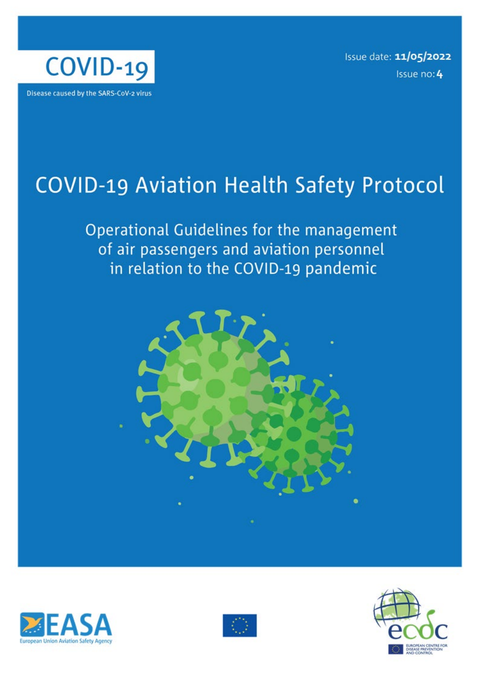

Issue date: 11/05/2022 Issue no: 4

# APPROVAL\_22-00155 **COVID-19 Aviation Health Safety Protocol**

**Operational Guidelines for the management**<br>of air passengers and aviation personnel **for the management**<br>**for the management of air passengers and aviation personnel**







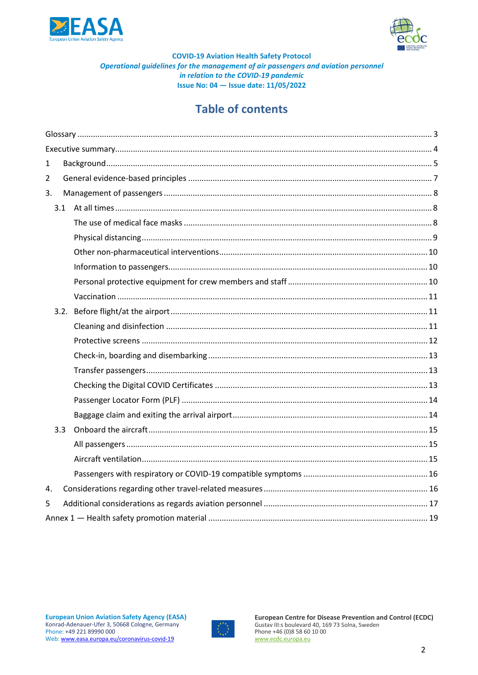



# **Table of contents**

| $\mathbf{1}$   |     |  |  |  |  |
|----------------|-----|--|--|--|--|
| $\overline{2}$ |     |  |  |  |  |
| 3.             |     |  |  |  |  |
|                |     |  |  |  |  |
|                |     |  |  |  |  |
|                |     |  |  |  |  |
|                |     |  |  |  |  |
|                |     |  |  |  |  |
|                |     |  |  |  |  |
|                |     |  |  |  |  |
|                |     |  |  |  |  |
|                |     |  |  |  |  |
|                |     |  |  |  |  |
|                |     |  |  |  |  |
|                |     |  |  |  |  |
|                |     |  |  |  |  |
|                |     |  |  |  |  |
|                | 3.3 |  |  |  |  |
|                |     |  |  |  |  |
|                |     |  |  |  |  |
|                |     |  |  |  |  |
|                |     |  |  |  |  |
| 4.             |     |  |  |  |  |
| 5              |     |  |  |  |  |
|                |     |  |  |  |  |

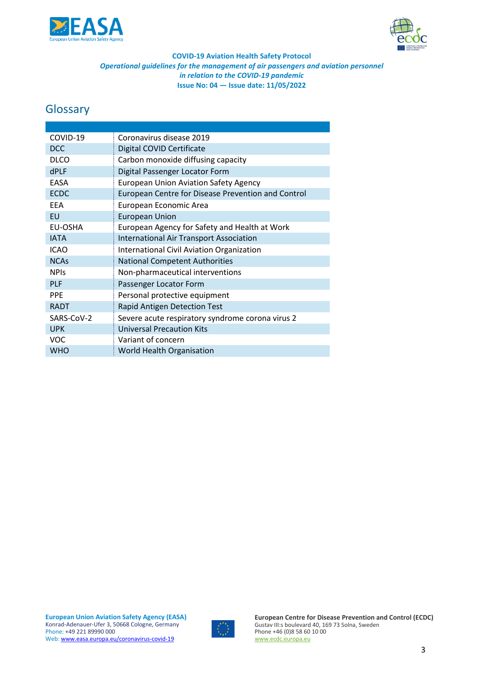



# <span id="page-2-0"></span>**Glossary**

| COVID-19    | Coronavirus disease 2019                           |
|-------------|----------------------------------------------------|
| <b>DCC</b>  | Digital COVID Certificate                          |
| <b>DLCO</b> | Carbon monoxide diffusing capacity                 |
| <b>dPLF</b> | Digital Passenger Locator Form                     |
| EASA        | <b>European Union Aviation Safety Agency</b>       |
| <b>ECDC</b> | European Centre for Disease Prevention and Control |
| <b>EEA</b>  | European Economic Area                             |
| <b>EU</b>   | <b>European Union</b>                              |
| EU-OSHA     | European Agency for Safety and Health at Work      |
| <b>IATA</b> | <b>International Air Transport Association</b>     |
| <b>ICAO</b> | <b>International Civil Aviation Organization</b>   |
| <b>NCAs</b> | <b>National Competent Authorities</b>              |
| <b>NPIs</b> | Non-pharmaceutical interventions                   |
| <b>PLF</b>  | Passenger Locator Form                             |
| <b>PPE</b>  | Personal protective equipment                      |
| <b>RADT</b> | <b>Rapid Antigen Detection Test</b>                |
| SARS-CoV-2  | Severe acute respiratory syndrome corona virus 2   |
| <b>UPK</b>  | <b>Universal Precaution Kits</b>                   |
| <b>VOC</b>  | Variant of concern                                 |
| <b>WHO</b>  | <b>World Health Organisation</b>                   |

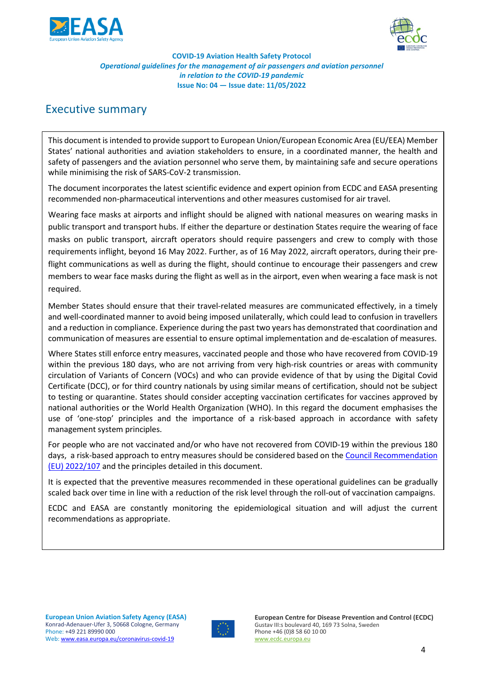



# <span id="page-3-0"></span>Executive summary

This document is intended to provide support to European Union/European Economic Area (EU/EEA) Member States' national authorities and aviation stakeholders to ensure, in a coordinated manner, the health and safety of passengers and the aviation personnel who serve them, by maintaining safe and secure operations while minimising the risk of SARS-CoV-2 transmission.

The document incorporates the latest scientific evidence and expert opinion from ECDC and EASA presenting recommended non-pharmaceutical interventions and other measures customised for air travel.

Wearing face masks at airports and inflight should be aligned with national measures on wearing masks in public transport and transport hubs. If either the departure or destination States require the wearing of face masks on public transport, aircraft operators should require passengers and crew to comply with those requirements inflight, beyond 16 May 2022. Further, as of 16 May 2022, aircraft operators, during their preflight communications as well as during the flight, should continue to encourage their passengers and crew members to wear face masks during the flight as well as in the airport, even when wearing a face mask is not required.

Member States should ensure that their travel-related measures are communicated effectively, in a timely and well-coordinated manner to avoid being imposed unilaterally, which could lead to confusion in travellers and a reduction in compliance. Experience during the past two years has demonstrated that coordination and communication of measures are essential to ensure optimal implementation and de-escalation of measures.

Where States still enforce entry measures, vaccinated people and those who have recovered from COVID-19 within the previous 180 days, who are not arriving from very high-risk countries or areas with community circulation of Variants of Concern (VOCs) and who can provide evidence of that by using the Digital Covid Certificate (DCC), or for third country nationals by using similar means of certification, should not be subject to testing or quarantine. States should consider accepting vaccination certificates for vaccines approved by national authorities or the World Health Organization (WHO). In this regard the document emphasises the use of 'one-stop' principles and the importance of a risk-based approach in accordance with safety management system principles.

For people who are not vaccinated and/or who have not recovered from COVID-19 within the previous 180 days, a risk-based approach to entry measures should be considered based on the [Council Recommendation](https://eur-lex.europa.eu/legal-content/EN/TXT/?uri=CELEX%3A32022H0107&qid=1646394991702)  [\(EU\) 2022/107](https://eur-lex.europa.eu/legal-content/EN/TXT/?uri=CELEX%3A32022H0107&qid=1646394991702) and the principles detailed in this document.

It is expected that the preventive measures recommended in these operational guidelines can be gradually scaled back over time in line with a reduction of the risk level through the roll-out of vaccination campaigns.

ECDC and EASA are constantly monitoring the epidemiological situation and will adjust the current recommendations as appropriate.

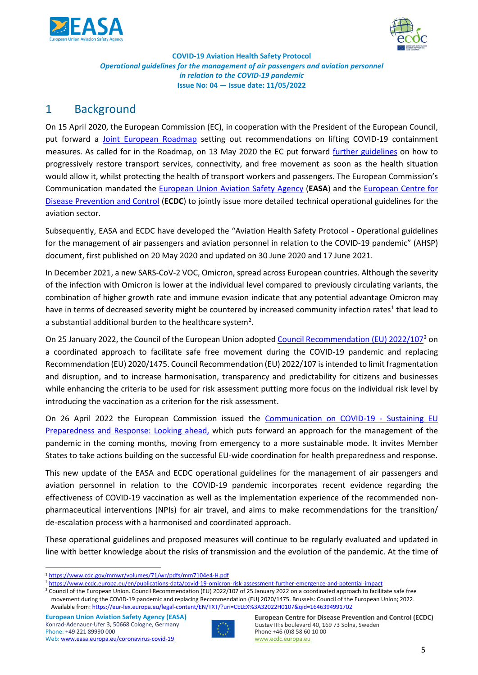



# <span id="page-4-0"></span>1 Background

On 15 April 2020, the European Commission (EC), in cooperation with the President of the European Council, put forward a [Joint European Roadmap](https://ec.europa.eu/info/sites/default/files/communication_-_a_european_roadmap_to_lifting_coronavirus_containment_measures_0.pdf) setting out recommendations on lifting COVID-19 containment measures. As called for in the Roadmap, on 13 May 2020 the EC put forward [further guidelines](https://eur-lex.europa.eu/legal-content/EN/TXT/PDF/?uri=CELEX:52020XC0515(04)&from=EN) on how to progressively restore transport services, connectivity, and free movement as soon as the health situation would allow it, whilst protecting the health of transport workers and passengers. The European Commission's Communication mandated the [European Union Aviation Safety Agency](https://www.easa.europa.eu/) (**EASA**) and the [European Centre for](https://www.ecdc.europa.eu/)  [Disease Prevention and Control](https://www.ecdc.europa.eu/) (**ECDC**) to jointly issue more detailed technical operational guidelines for the aviation sector.

Subsequently, EASA and ECDC have developed the "Aviation Health Safety Protocol - Operational guidelines for the management of air passengers and aviation personnel in relation to the COVID-19 pandemic" (AHSP) document, first published on 20 May 2020 and updated on 30 June 2020 and 17 June 2021.

In December 2021, a new SARS-CoV-2 VOC, Omicron, spread across European countries. Although the severity of the infection with Omicron is lower at the individual level compared to previously circulating variants, the combination of higher growth rate and immune evasion indicate that any potential advantage Omicron may have in terms of decreased severity might be countered by increased community infection rates<sup>1</sup> that lead to a substantial additional burden to the healthcare system<sup>[2](#page-4-2)</sup>.

On 25 January 2022, the Council of the European Union adopted [Council Recommendation \(EU\) 2022/107](https://eur-lex.europa.eu/legal-content/EN/TXT/?uri=CELEX%3A32022H0107&qid=1646394991702)[3](#page-4-3) on a coordinated approach to facilitate safe free movement during the COVID-19 pandemic and replacing Recommendation (EU) 2020/1475. Council Recommendation (EU) 2022/107 is intended to limit fragmentation and disruption, and to increase harmonisation, transparency and predictability for citizens and businesses while enhancing the criteria to be used for risk assessment putting more focus on the individual risk level by introducing the vaccination as a criterion for the risk assessment.

On 26 April 2022 the European Commission issued the [Communication on COVID-19 -](https://ec.europa.eu/health/publications/covid-19-sustaining-eu-preparedness-and-response_en) Sustaining EU [Preparedness and Response: Looking ahead,](https://ec.europa.eu/health/publications/covid-19-sustaining-eu-preparedness-and-response_en) which puts forward an approach for the management of the pandemic in the coming months, moving from emergency to a more sustainable mode. It invites Member States to take actions building on the successful EU-wide coordination for health preparedness and response.

This new update of the EASA and ECDC operational guidelines for the management of air passengers and aviation personnel in relation to the COVID-19 pandemic incorporates recent evidence regarding the effectiveness of COVID-19 vaccination as well as the implementation experience of the recommended nonpharmaceutical interventions (NPIs) for air travel, and aims to make recommendations for the transition/ de-escalation process with a harmonised and coordinated approach.

These operational guidelines and proposed measures will continue to be regularly evaluated and updated in line with better knowledge about the risks of transmission and the evolution of the pandemic. At the time of



<span id="page-4-1"></span><sup>1</sup> <https://www.cdc.gov/mmwr/volumes/71/wr/pdfs/mm7104e4-H.pdf>

<span id="page-4-2"></span><sup>2</sup> <https://www.ecdc.europa.eu/en/publications-data/covid-19-omicron-risk-assessment-further-emergence-and-potential-impact>

<span id="page-4-3"></span><sup>&</sup>lt;sup>3</sup> Council of the European Union. Council Recommendation (EU) 2022/107 of 25 January 2022 on a coordinated approach to facilitate safe free movement during the COVID-19 pandemic and replacing Recommendation (EU) 2020/1475. Brussels: Council of the European Union; 2022. Available from[: https://eur-lex.europa.eu/legal-content/EN/TXT/?uri=CELEX%3A32022H0107&qid=1646394991702](https://eur-lex.europa.eu/legal-content/EN/TXT/?uri=CELEX%3A32022H0107&qid=1646394991702)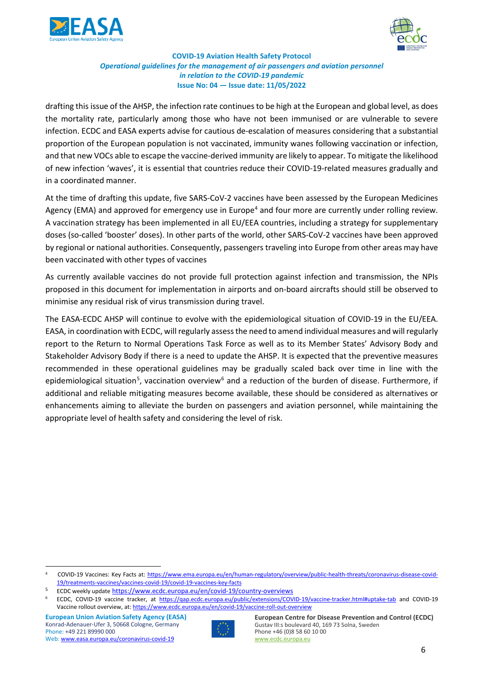



drafting this issue of the AHSP, the infection rate continues to be high at the European and global level, as does the mortality rate, particularly among those who have not been immunised or are vulnerable to severe infection. ECDC and EASA experts advise for cautious de-escalation of measures considering that a substantial proportion of the European population is not vaccinated, immunity wanes following vaccination or infection, and that new VOCs able to escape the vaccine-derived immunity are likely to appear. To mitigate the likelihood of new infection 'waves', it is essential that countries reduce their COVID-19-related measures gradually and in a coordinated manner.

At the time of drafting this update, five SARS-CoV-2 vaccines have been assessed by the European Medicines Agency (EMA) and approved for emergency use in Europe<sup>[4](#page-5-0)</sup> and four more are currently under rolling review. A vaccination strategy has been implemented in all EU/EEA countries, including a strategy for supplementary doses (so-called 'booster' doses). In other parts of the world, other SARS-CoV-2 vaccines have been approved by regional or national authorities. Consequently, passengers traveling into Europe from other areas may have been vaccinated with other types of vaccines

As currently available vaccines do not provide full protection against infection and transmission, the NPIs proposed in this document for implementation in airports and on-board aircrafts should still be observed to minimise any residual risk of virus transmission during travel.

The EASA-ECDC AHSP will continue to evolve with the epidemiological situation of COVID-19 in the EU/EEA. EASA, in coordination with ECDC, will regularly assess the need to amend individual measures and will regularly report to the Return to Normal Operations Task Force as well as to its Member States' Advisory Body and Stakeholder Advisory Body if there is a need to update the AHSP. It is expected that the preventive measures recommended in these operational guidelines may be gradually scaled back over time in line with the epidemiological situation<sup>[5](#page-5-1)</sup>, vaccination overview<sup>[6](#page-5-2)</sup> and a reduction of the burden of disease. Furthermore, if additional and reliable mitigating measures become available, these should be considered as alternatives or enhancements aiming to alleviate the burden on passengers and aviation personnel, while maintaining the appropriate level of health safety and considering the level of risk.



**European Centre for Disease Prevention and Control (ECDC)**  Gustav III:s boulevard 40, 169 73 Solna, Sweden Phone +46 (0)8 58 60 10 00 [www.ecdc.europa.eu](http://www.ecdc.europa.eu/)

<span id="page-5-0"></span><sup>4</sup> COVID-19 Vaccines: Key Facts at: [https://www.ema.europa.eu/en/human-regulatory/overview/public-health-threats/coronavirus-disease-covid-](https://www.ema.europa.eu/en/human-regulatory/overview/public-health-threats/coronavirus-disease-covid-19/treatments-vaccines/vaccines-covid-19/covid-19-vaccines-key-facts)[19/treatments-vaccines/vaccines-covid-19/covid-19-vaccines-key-facts](https://www.ema.europa.eu/en/human-regulatory/overview/public-health-threats/coronavirus-disease-covid-19/treatments-vaccines/vaccines-covid-19/covid-19-vaccines-key-facts)

<span id="page-5-2"></span><span id="page-5-1"></span><sup>5</sup> ECDC weekly update <https://www.ecdc.europa.eu/en/covid-19/country-overviews>

<sup>6</sup> ECDC, COVID-19 vaccine tracker, at<https://qap.ecdc.europa.eu/public/extensions/COVID-19/vaccine-tracker.html#uptake-tab> and COVID-19 Vaccine rollout overview, at[: https://www.ecdc.europa.eu/en/covid-19/vaccine-roll-out-overview](https://www.ecdc.europa.eu/en/covid-19/vaccine-roll-out-overview)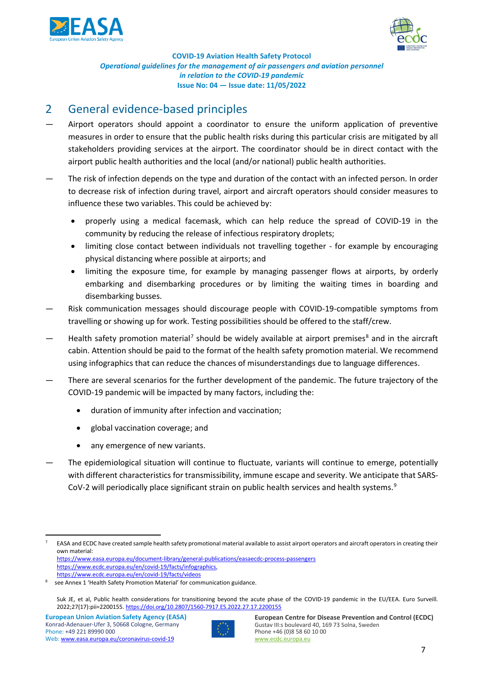



# <span id="page-6-0"></span>2 General evidence-based principles

- Airport operators should appoint a coordinator to ensure the uniform application of preventive measures in order to ensure that the public health risks during this particular crisis are mitigated by all stakeholders providing services at the airport. The coordinator should be in direct contact with the airport public health authorities and the local (and/or national) public health authorities.
- The risk of infection depends on the type and duration of the contact with an infected person. In order to decrease risk of infection during travel, airport and aircraft operators should consider measures to influence these two variables. This could be achieved by:
	- properly using a medical facemask, which can help reduce the spread of COVID-19 in the community by reducing the release of infectious respiratory droplets;
	- limiting close contact between individuals not travelling together for example by encouraging physical distancing where possible at airports; and
	- limiting the exposure time, for example by managing passenger flows at airports, by orderly embarking and disembarking procedures or by limiting the waiting times in boarding and disembarking busses.
- Risk communication messages should discourage people with COVID-19-compatible symptoms from travelling or showing up for work. Testing possibilities should be offered to the staff/crew.
- Health safety promotion material<sup>[7](#page-6-1)</sup> should be widely available at airport premises<sup>[8](#page-6-2)</sup> and in the aircraft cabin. Attention should be paid to the format of the health safety promotion material. We recommend using infographics that can reduce the chances of misunderstandings due to language differences.
- There are several scenarios for the further development of the pandemic. The future trajectory of the COVID-19 pandemic will be impacted by many factors, including the:
	- duration of immunity after infection and vaccination;
	- global vaccination coverage; and
	- any emergence of new variants.
- The epidemiological situation will continue to fluctuate, variants will continue to emerge, potentially with different characteristics for transmissibility, immune escape and severity. We anticipate that SARS-CoV-2 will periodically place significant strain on public health services and health systems.<sup>[9](#page-6-3)</sup>



<span id="page-6-1"></span> $7$  EASA and ECDC have created sample health safety promotional material available to assist airport operators and aircraft operators in creating their own material: <https://www.easa.europa.eu/document-library/general-publications/easaecdc-process-passengers> [https://www.ecdc.europa.eu/en/covid-19/facts/infographics,](https://www.ecdc.europa.eu/en/covid-19/facts/infographics)

<https://www.ecdc.europa.eu/en/covid-19/facts/videos>

<span id="page-6-3"></span><span id="page-6-2"></span>see Annex 1 'Health Safety Promotion Material' for communication guidance.

Suk JE, et al, Public health considerations for transitioning beyond the acute phase of the COVID-19 pandemic in the EU/EEA. Euro Surveill. 2022;27(17):pii=2200155[. https://doi.org/10.2807/1560-7917.ES.2022.27.17.2200155](https://doi.org/10.2807/1560-7917.ES.2022.27.17.2200155)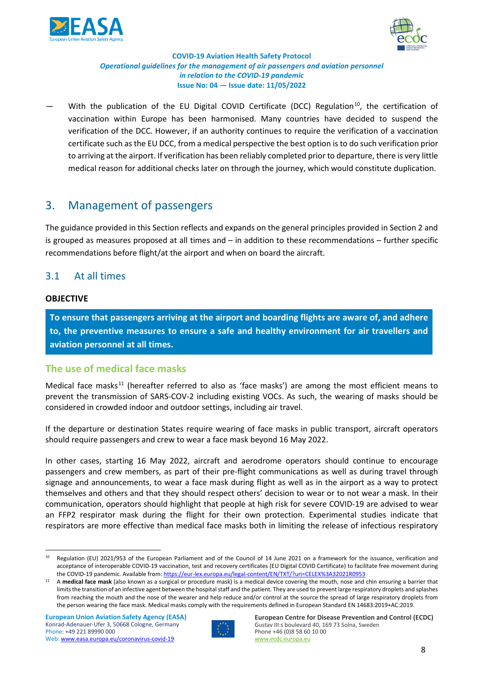



With the publication of the EU Digital COVID Certificate (DCC) Regulation<sup>[10](#page-7-3)</sup>, the certification of vaccination within Europe has been harmonised. Many countries have decided to suspend the verification of the DCC. However, if an authority continues to require the verification of a vaccination certificate such as the EU DCC, from a medical perspective the best option is to do such verification prior to arriving at the airport. If verification has been reliably completed prior to departure, there is very little medical reason for additional checks later on through the journey, which would constitute duplication.

# <span id="page-7-0"></span>3. Management of passengers

The guidance provided in this Section reflects and expands on the general principles provided in Section 2 and is grouped as measures proposed at all times and – in addition to these recommendations – further specific recommendations before flight/at the airport and when on board the aircraft.

## <span id="page-7-1"></span>3.1 At all times

#### **OBJECTIVE**

**To ensure that passengers arriving at the airport and boarding flights are aware of, and adhere to, the preventive measures to ensure a safe and healthy environment for air travellers and aviation personnel at all times.**

### <span id="page-7-2"></span>**The use of medical face masks**

Medical face masks<sup>[11](#page-7-4)</sup> (hereafter referred to also as 'face masks') are among the most efficient means to prevent the transmission of SARS-COV-2 including existing VOCs. As such, the wearing of masks should be considered in crowded indoor and outdoor settings, including air travel.

If the departure or destination States require wearing of face masks in public transport, aircraft operators should require passengers and crew to wear a face mask beyond 16 May 2022.

In other cases, starting 16 May 2022, aircraft and aerodrome operators should continue to encourage passengers and crew members, as part of their pre-flight communications as well as during travel through signage and announcements, to wear a face mask during flight as well as in the airport as a way to protect themselves and others and that they should respect others' decision to wear or to not wear a mask. In their communication, operators should highlight that people at high risk for severe COVID-19 are advised to wear an FFP2 respirator mask during the flight for their own protection. Experimental studies indicate that respirators are more effective than medical face masks both in limiting the release of infectious respiratory



<span id="page-7-3"></span><sup>&</sup>lt;sup>10</sup> Regulation (EU) 2021/953 of the European Parliament and of the Council of 14 June 2021 on a framework for the issuance, verification and acceptance of interoperable COVID-19 vaccination, test and recovery certificates (EU Digital COVID Certificate) to facilitate free movement during the COVID-19 pandemic. Available from[: https://eur-lex.europa.eu/legal-content/EN/TXT/?uri=CELEX%3A32021R0953](https://eur-lex.europa.eu/legal-content/EN/TXT/?uri=CELEX%3A32021R0953)

<span id="page-7-4"></span><sup>11</sup> A **medical face mask** (also known as a surgical or procedure mask) is a medical device covering the mouth, nose and chin ensuring a barrier that limits the transition of an infective agent between the hospital staff and the patient. They are used to prevent large respiratory droplets and splashes from reaching the mouth and the nose of the wearer and help reduce and/or control at the source the spread of large respiratory droplets from the person wearing the face mask. Medical masks comply with the requirements defined in European Standard EN 14683:2019+AC:2019.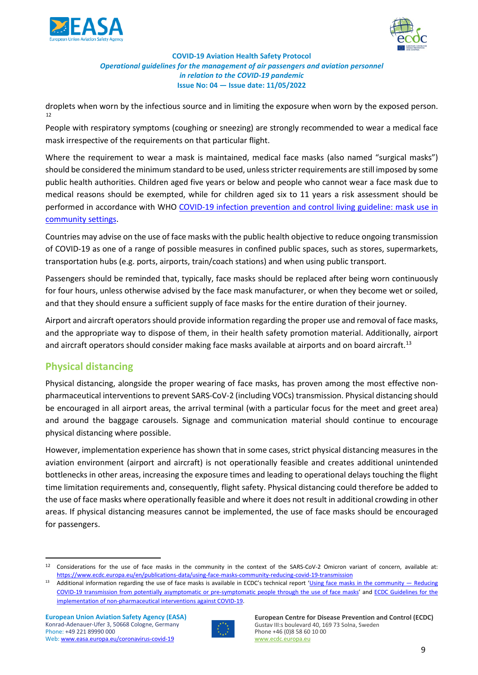



droplets when worn by the infectious source and in limiting the exposure when worn by the exposed person. [12](#page-8-1)

People with respiratory symptoms (coughing or sneezing) are strongly recommended to wear a medical face mask irrespective of the requirements on that particular flight.

Where the requirement to wear a mask is maintained, medical face masks (also named "surgical masks") should be considered the minimum standard to be used, unless stricter requirements are still imposed by some public health authorities. Children aged five years or below and people who cannot wear a face mask due to medical reasons should be exempted, while for children aged six to 11 years a risk assessment should be performed in accordance with WHO [COVID-19 infection prevention and control living guideline: mask use in](https://apps.who.int/iris/handle/10665/350927?search-result=true&query=Mask+use+in+the+context+of+COVID-19&scope=&rpp=10&sort_by=score&order=desc)  [community settings.](https://apps.who.int/iris/handle/10665/350927?search-result=true&query=Mask+use+in+the+context+of+COVID-19&scope=&rpp=10&sort_by=score&order=desc)

Countries may advise on the use of face masks with the public health objective to reduce ongoing transmission of COVID-19 as one of a range of possible measures in confined public spaces, such as stores, supermarkets, transportation hubs (e.g. ports, airports, train/coach stations) and when using public transport.

Passengers should be reminded that, typically, face masks should be replaced after being worn continuously for four hours, unless otherwise advised by the face mask manufacturer, or when they become wet or soiled, and that they should ensure a sufficient supply of face masks for the entire duration of their journey.

Airport and aircraft operatorsshould provide information regarding the proper use and removal of face masks, and the appropriate way to dispose of them, in their health safety promotion material. Additionally, airport and aircraft operators should consider making face masks available at airports and on board aircraft.<sup>[13](#page-8-2)</sup>

## <span id="page-8-0"></span>**Physical distancing**

Physical distancing, alongside the proper wearing of face masks, has proven among the most effective nonpharmaceutical interventions to prevent SARS-CoV-2 (including VOCs) transmission. Physical distancing should be encouraged in all airport areas, the arrival terminal (with a particular focus for the meet and greet area) and around the baggage carousels. Signage and communication material should continue to encourage physical distancing where possible.

However, implementation experience has shown that in some cases, strict physical distancing measures in the aviation environment (airport and aircraft) is not operationally feasible and creates additional unintended bottlenecks in other areas, increasing the exposure times and leading to operational delays touching the flight time limitation requirements and, consequently, flight safety. Physical distancing could therefore be added to the use of face masks where operationally feasible and where it does not result in additional crowding in other areas. If physical distancing measures cannot be implemented, the use of face masks should be encouraged for passengers.



<span id="page-8-1"></span><sup>&</sup>lt;sup>12</sup> Considerations for the use of face masks in the community in the context of the SARS-CoV-2 Omicron variant of concern, available at: <https://www.ecdc.europa.eu/en/publications-data/using-face-masks-community-reducing-covid-19-transmission>

<span id="page-8-2"></span><sup>&</sup>lt;sup>13</sup> Additional information regarding the use of face masks is available in ECDC's technical report 'Using face masks in the community  $-$  Reducing [COVID-19 transmission from potentially asymptomatic or pre-symptomatic people through the use of face masks'](https://www.ecdc.europa.eu/en/publications-data/using-face-masks-community-reducing-covid-19-transmission) and [ECDC Guidelines for the](https://www.ecdc.europa.eu/en/publications-data/covid-19-guidelines-non-pharmaceutical-interventions)  [implementation of non-pharmaceutical interventions against COVID-19.](https://www.ecdc.europa.eu/en/publications-data/covid-19-guidelines-non-pharmaceutical-interventions)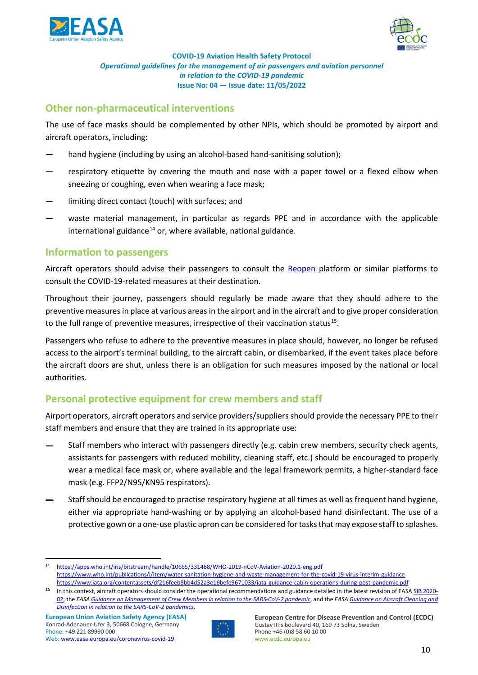



## <span id="page-9-0"></span>**Other non-pharmaceutical interventions**

The use of face masks should be complemented by other NPIs, which should be promoted by airport and aircraft operators, including:

- hand hygiene (including by using an alcohol-based hand-sanitising solution);
- respiratory etiquette by covering the mouth and nose with a paper towel or a flexed elbow when sneezing or coughing, even when wearing a face mask;
- limiting direct contact (touch) with surfaces; and
- waste material management, in particular as regards PPE and in accordance with the applicable international guidance<sup>[14](#page-9-3)</sup> or, where available, national guidance.

### <span id="page-9-1"></span>**Information to passengers**

Aircraft operators should advise their passengers to consult the [Reopen p](https://reopen.europa.eu/)latform or similar platforms to consult the COVID-19-related measures at their destination.

Throughout their journey, passengers should regularly be made aware that they should adhere to the preventive measures in place at various areas in the airport and in the aircraft and to give proper consideration to the full range of preventive measures, irrespective of their vaccination status<sup>15</sup>.

Passengers who refuse to adhere to the preventive measures in place should, however, no longer be refused access to the airport's terminal building, to the aircraft cabin, or disembarked, if the event takes place before the aircraft doors are shut, unless there is an obligation for such measures imposed by the national or local authorities.

## <span id="page-9-2"></span>**Personal protective equipment for crew members and staff**

Airport operators, aircraft operators and service providers/suppliers should provide the necessary PPE to their staff members and ensure that they are trained in its appropriate use:

- Staff members who interact with passengers directly (e.g. cabin crew members, security check agents, assistants for passengers with reduced mobility, cleaning staff, etc.) should be encouraged to properly wear a medical face mask or, where available and the legal framework permits, a higher-standard face mask (e.g. FFP2/N95/KN95 respirators).
- Staff should be encouraged to practise respiratory hygiene at all times as well as frequent hand hygiene, either via appropriate hand-washing or by applying an alcohol-based hand disinfectant. The use of a protective gown or a one-use plastic apron can be considered for tasks that may expose staff to splashes.



<span id="page-9-3"></span><sup>14</sup> <https://apps.who.int/iris/bitstream/handle/10665/331488/WHO-2019-nCoV-Aviation-2020.1-eng.pdf> <https://www.who.int/publications/i/item/water-sanitation-hygiene-and-waste-management-for-the-covid-19-virus-interim-guidance> <https://www.iata.org/contentassets/df216feeb8bb4d52a3e16befe9671033/iata-guidance-cabin-operations-during-post-pandemic.pdf>

<span id="page-9-4"></span><sup>&</sup>lt;sup>15</sup> In this context, aircraft operators should consider the operational recommendations and guidance detailed in the latest revision of EAS[A SIB 2020-](https://ad.easa.europa.eu/ad/2020-02R5) [02,](https://ad.easa.europa.eu/ad/2020-02R5) the *EASA Guidance on Management [of Crew Members in relation to the SARS-CoV-2 pandemic](https://www.easa.europa.eu/document-library/general-publications/guidance-management-crew-members)*, and the *EASA Guidance [on Aircraft Cleaning and](https://www.easa.europa.eu/document-library/general-publications/guidance-aircraft-cleaning-and-disinfection)  Disinfection [in relation to the SARS-CoV-2 pandemics](https://www.easa.europa.eu/document-library/general-publications/guidance-aircraft-cleaning-and-disinfection)*.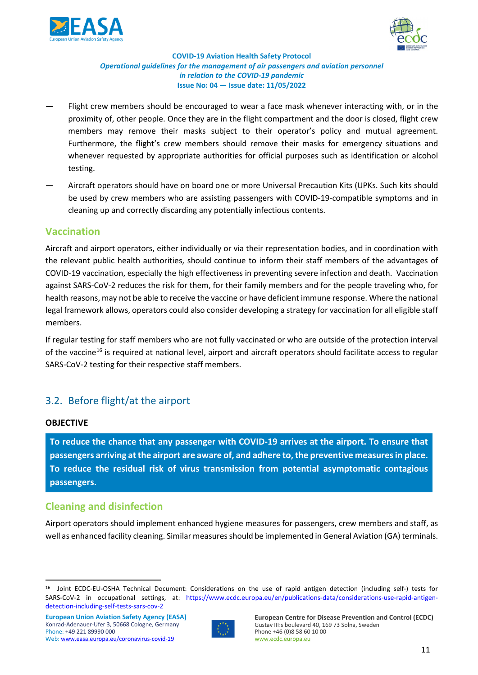



- Flight crew members should be encouraged to wear a face mask whenever interacting with, or in the proximity of, other people. Once they are in the flight compartment and the door is closed, flight crew members may remove their masks subject to their operator's policy and mutual agreement. Furthermore, the flight's crew members should remove their masks for emergency situations and whenever requested by appropriate authorities for official purposes such as identification or alcohol testing.
- Aircraft operators should have on board one or more Universal Precaution Kits (UPKs. Such kits should be used by crew members who are assisting passengers with COVID-19-compatible symptoms and in cleaning up and correctly discarding any potentially infectious contents.

## <span id="page-10-0"></span>**Vaccination**

Aircraft and airport operators, either individually or via their representation bodies, and in coordination with the relevant public health authorities, should continue to inform their staff members of the advantages of COVID-19 vaccination, especially the high effectiveness in preventing severe infection and death. Vaccination against SARS-CoV-2 reduces the risk for them, for their family members and for the people traveling who, for health reasons, may not be able to receive the vaccine or have deficient immune response. Where the national legal framework allows, operators could also consider developing a strategy for vaccination for all eligible staff members.

If regular testing for staff members who are not fully vaccinated or who are outside of the protection interval of the vaccine<sup>[16](#page-10-3)</sup> is required at national level, airport and aircraft operators should facilitate access to regular SARS-CoV-2 testing for their respective staff members.

## <span id="page-10-1"></span>3.2. Before flight/at the airport

#### **OBJECTIVE**

**To reduce the chance that any passenger with COVID-19 arrives at the airport. To ensure that passengers arriving at the airport are aware of, and adhere to,the preventive measures in place. To reduce the residual risk of virus transmission from potential asymptomatic contagious passengers.**

## <span id="page-10-2"></span>**Cleaning and disinfection**

Airport operators should implement enhanced hygiene measures for passengers, crew members and staff, as well as enhanced facility cleaning. Similar measures should be implemented in General Aviation (GA) terminals.

**European Union Aviation Safety Agency (EASA)** Konrad-Adenauer-Ufer 3, 50668 Cologne, Germany Phone: +49 221 89990 000 Web: [www.easa.europa.eu/coronavirus-covid-19](https://www.easa.europa.eu/the-agency/coronavirus-covid-19)



<span id="page-10-3"></span><sup>16</sup> Joint ECDC-EU-OSHA Technical Document: Considerations on the use of rapid antigen detection (including self-) tests for SARS-CoV-2 in occupational settings, at: [https://www.ecdc.europa.eu/en/publications-data/considerations-use-rapid-antigen](https://www.ecdc.europa.eu/en/publications-data/considerations-use-rapid-antigen-detection-including-self-tests-sars-cov-2)[detection-including-self-tests-sars-cov-2](https://www.ecdc.europa.eu/en/publications-data/considerations-use-rapid-antigen-detection-including-self-tests-sars-cov-2)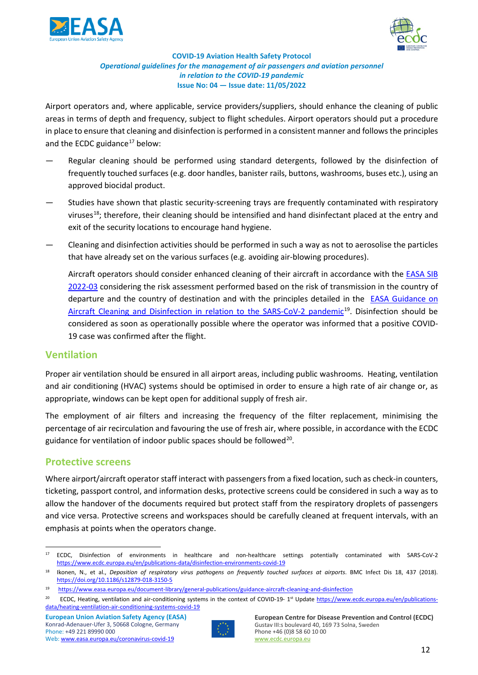



Airport operators and, where applicable, service providers/suppliers, should enhance the cleaning of public areas in terms of depth and frequency, subject to flight schedules. Airport operators should put a procedure in place to ensure that cleaning and disinfection is performed in a consistent manner and followsthe principles and the ECDC guidance $17$  below:

- Regular cleaning should be performed using standard detergents, followed by the disinfection of frequently touched surfaces (e.g. door handles, banister rails, buttons, washrooms, buses etc.), using an approved biocidal product.
- Studies have shown that plastic security-screening trays are frequently contaminated with respiratory viruses<sup>18</sup>; therefore, their cleaning should be intensified and hand disinfectant placed at the entry and exit of the security locations to encourage hand hygiene.
- Cleaning and disinfection activities should be performed in such a way as not to aerosolise the particles that have already set on the various surfaces (e.g. avoiding air-blowing procedures).

Aircraft operators should consider enhanced cleaning of their aircraft in accordance with the EASA SIB [2022-03](https://ad.easa.europa.eu/ad/2022-03) considering the risk assessment performed based on the risk of transmission in the country of departure and the country of destination and with the principles detailed in the [EASA Guidance on](https://www.easa.europa.eu/document-library/general-publications/guidance-aircraft-cleaning-and-disinfection)  Aircraft Cleaning [and Disinfection in relation to the SARS-CoV-2 pandemic](https://www.easa.europa.eu/document-library/general-publications/guidance-aircraft-cleaning-and-disinfection)<sup>19</sup>. Disinfection should be considered as soon as operationally possible where the operator was informed that a positive COVID-19 case was confirmed after the flight.

### **Ventilation**

Proper air ventilation should be ensured in all airport areas, including public washrooms. Heating, ventilation and air conditioning (HVAC) systems should be optimised in order to ensure a high rate of air change or, as appropriate, windows can be kept open for additional supply of fresh air.

The employment of air filters and increasing the frequency of the filter replacement, minimising the percentage of air recirculation and favouring the use of fresh air, where possible, in accordance with the ECDC guidance for ventilation of indoor public spaces should be followed<sup>20</sup>.

### <span id="page-11-0"></span>**Protective screens**

Where airport/aircraft operator staff interact with passengers from a fixed location, such as check-in counters, ticketing, passport control, and information desks, protective screens could be considered in such a way as to allow the handover of the documents required but protect staff from the respiratory droplets of passengers and vice versa. Protective screens and workspaces should be carefully cleaned at frequent intervals, with an emphasis at points when the operators change.



<span id="page-11-1"></span><sup>17</sup> ECDC, Disinfection of environments in healthcare and non-healthcare settings potentially contaminated with SARS-CoV-2 <https://www.ecdc.europa.eu/en/publications-data/disinfection-environments-covid-19>

<span id="page-11-2"></span><sup>18</sup> Ikonen, N., et al., *Deposition of respiratory virus pathogens on frequently touched surfaces at airports*. BMC Infect Dis 18, 437 (2018). <https://doi.org/10.1186/s12879-018-3150-5>

<span id="page-11-3"></span><sup>19</sup> https://www.easa.europa.eu/document-library/general-publications/guidance-aircraft-cleaning-and-disinfection

<span id="page-11-4"></span><sup>&</sup>lt;sup>20</sup> ECDC, Heating, ventilation and air-conditioning systems in the context of COVID-19-1<sup>st</sup> Update [https://www.ecdc.europa.eu/en/publications](https://www.ecdc.europa.eu/en/publications-data/heating-ventilation-air-conditioning-systems-covid-19)[data/heating-ventilation-air-conditioning-systems-covid-19](https://www.ecdc.europa.eu/en/publications-data/heating-ventilation-air-conditioning-systems-covid-19)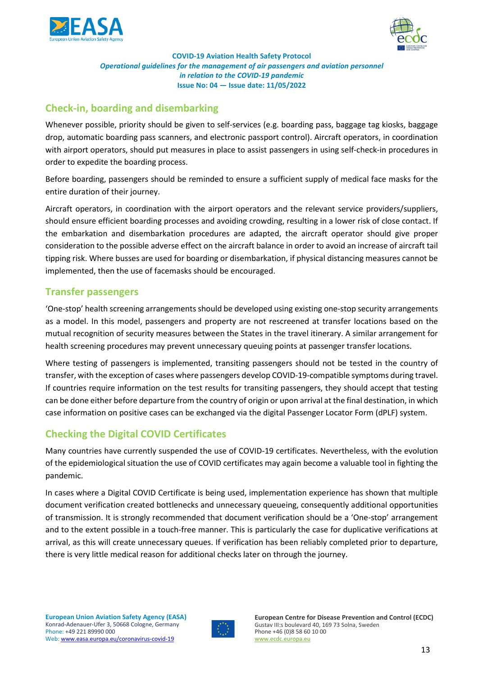



# <span id="page-12-0"></span>**Check-in, boarding and disembarking**

Whenever possible, priority should be given to self-services (e.g. boarding pass, baggage tag kiosks, baggage drop, automatic boarding pass scanners, and electronic passport control). Aircraft operators, in coordination with airport operators, should put measures in place to assist passengers in using self-check-in procedures in order to expedite the boarding process.

Before boarding, passengers should be reminded to ensure a sufficient supply of medical face masks for the entire duration of their journey.

Aircraft operators, in coordination with the airport operators and the relevant service providers/suppliers, should ensure efficient boarding processes and avoiding crowding, resulting in a lower risk of close contact. If the embarkation and disembarkation procedures are adapted, the aircraft operator should give proper consideration to the possible adverse effect on the aircraft balance in order to avoid an increase of aircraft tail tipping risk. Where busses are used for boarding or disembarkation, if physical distancing measures cannot be implemented, then the use of facemasks should be encouraged.

## <span id="page-12-1"></span>**Transfer passengers**

'One-stop' health screening arrangements should be developed using existing one-stop security arrangements as a model. In this model, passengers and property are not rescreened at transfer locations based on the mutual recognition of security measures between the States in the travel itinerary. A similar arrangement for health screening procedures may prevent unnecessary queuing points at passenger transfer locations.

Where testing of passengers is implemented, transiting passengers should not be tested in the country of transfer, with the exception of cases where passengers develop COVID-19-compatible symptoms during travel. If countries require information on the test results for transiting passengers, they should accept that testing can be done either before departure from the country of origin or upon arrival at the final destination, in which case information on positive cases can be exchanged via the digital Passenger Locator Form (dPLF) system.

# <span id="page-12-2"></span>**Checking the Digital COVID Certificates**

Many countries have currently suspended the use of COVID-19 certificates. Nevertheless, with the evolution of the epidemiological situation the use of COVID certificates may again become a valuable tool in fighting the pandemic.

<span id="page-12-3"></span>In cases where a Digital COVID Certificate is being used, implementation experience has shown that multiple document verification created bottlenecks and unnecessary queueing, consequently additional opportunities of transmission. It is strongly recommended that document verification should be a 'One-stop' arrangement and to the extent possible in a touch-free manner. This is particularly the case for duplicative verifications at arrival, as this will create unnecessary queues. If verification has been reliably completed prior to departure, there is very little medical reason for additional checks later on through the journey.

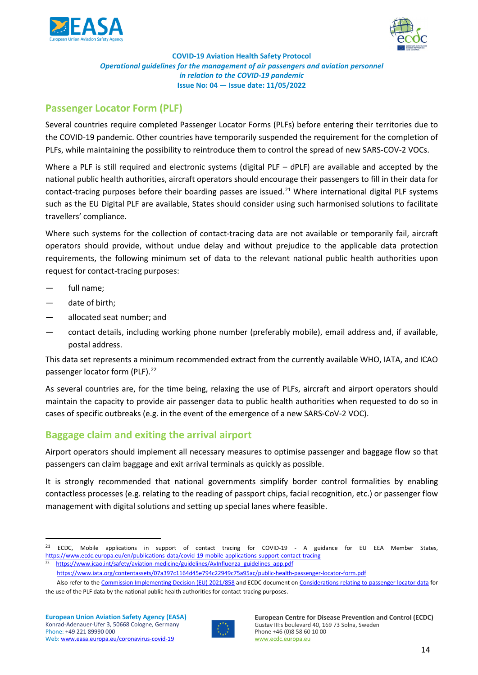



## **Passenger Locator Form (PLF)**

Several countries require completed Passenger Locator Forms (PLFs) before entering their territories due to the COVID-19 pandemic. Other countries have temporarily suspended the requirement for the completion of PLFs, while maintaining the possibility to reintroduce them to control the spread of new SARS-COV-2 VOCs.

Where a PLF is still required and electronic systems (digital PLF – dPLF) are available and accepted by the national public health authorities, aircraft operators should encourage their passengers to fill in their data for contact-tracing purposes before their boarding passes are issued.<sup>[21](#page-13-1)</sup> Where international digital PLF systems such as the EU Digital PLF are available, States should consider using such harmonised solutions to facilitate travellers' compliance.

Where such systems for the collection of contact-tracing data are not available or temporarily fail, aircraft operators should provide, without undue delay and without prejudice to the applicable data protection requirements, the following minimum set of data to the relevant national public health authorities upon request for contact-tracing purposes:

- full name:
- date of birth;
- allocated seat number; and
- contact details, including working phone number (preferably mobile), email address and, if available, postal address.

This data set represents a minimum recommended extract from the currently available WHO, IATA, and ICAO passenger locator form (PLF).<sup>[22](#page-13-2)</sup>

As several countries are, for the time being, relaxing the use of PLFs, aircraft and airport operators should maintain the capacity to provide air passenger data to public health authorities when requested to do so in cases of specific outbreaks (e.g. in the event of the emergence of a new SARS-CoV-2 VOC).

## <span id="page-13-0"></span>**Baggage claim and exiting the arrival airport**

Airport operators should implement all necessary measures to optimise passenger and baggage flow so that passengers can claim baggage and exit arrival terminals as quickly as possible.

It is strongly recommended that national governments simplify border control formalities by enabling contactless processes (e.g. relating to the reading of passport chips, facial recognition, etc.) or passenger flow management with digital solutions and setting up special lanes where feasible.



<span id="page-13-1"></span><sup>&</sup>lt;sup>21</sup> ECDC, Mobile applications in support of contact tracing for COVID-19 - A guidance for EU EEA Member States, <https://www.ecdc.europa.eu/en/publications-data/covid-19-mobile-applications-support-contact-tracing>

<span id="page-13-2"></span>[https://www.icao.int/safety/aviation-medicine/guidelines/AvInfluenza\\_guidelines\\_app.pdf](https://www.icao.int/safety/aviation-medicine/guidelines/AvInfluenza_guidelines_app.pdf)

<https://www.iata.org/contentassets/07a397c1164d45e794c22949c75a95ac/public-health-passenger-locator-form.pdf>

Also refer to th[e Commission Implementing Decision \(EU\) 2021/858](https://eur-lex.europa.eu/legal-content/EN/TXT/?uri=CELEX%3A32021D0858&qid=1622211583117) and ECDC document o[n Considerations relating to passenger locator data](https://www.ecdc.europa.eu/en/publications-data/passenger-locator-data-entry-exit-screening-health-declaration) for the use of the PLF data by the national public health authorities for contact-tracing purposes.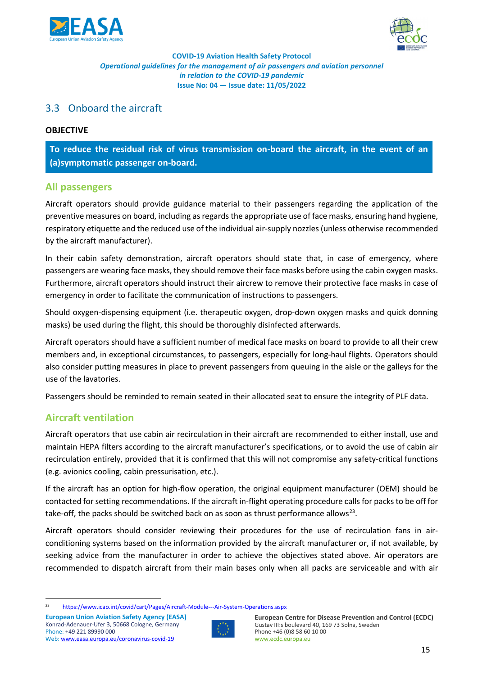



### <span id="page-14-0"></span>3.3 Onboard the aircraft

#### **OBJECTIVE**

**To reduce the residual risk of virus transmission on-board the aircraft, in the event of an (a)symptomatic passenger on-board.**

#### <span id="page-14-1"></span>**All passengers**

Aircraft operators should provide guidance material to their passengers regarding the application of the preventive measures on board, including as regards the appropriate use of face masks, ensuring hand hygiene, respiratory etiquette and the reduced use of the individual air-supply nozzles (unless otherwise recommended by the aircraft manufacturer).

In their cabin safety demonstration, aircraft operators should state that, in case of emergency, where passengers are wearing face masks, they should remove their face masks before using the cabin oxygen masks. Furthermore, aircraft operators should instruct their aircrew to remove their protective face masks in case of emergency in order to facilitate the communication of instructions to passengers.

Should oxygen-dispensing equipment (i.e. therapeutic oxygen, drop-down oxygen masks and quick donning masks) be used during the flight, this should be thoroughly disinfected afterwards.

Aircraft operators should have a sufficient number of medical face masks on board to provide to all their crew members and, in exceptional circumstances, to passengers, especially for long-haul flights. Operators should also consider putting measures in place to prevent passengers from queuing in the aisle or the galleys for the use of the lavatories.

Passengers should be reminded to remain seated in their allocated seat to ensure the integrity of PLF data.

### <span id="page-14-2"></span>**Aircraft ventilation**

Aircraft operators that use cabin air recirculation in their aircraft are recommended to either install, use and maintain HEPA filters according to the aircraft manufacturer's specifications, or to avoid the use of cabin air recirculation entirely, provided that it is confirmed that this will not compromise any safety-critical functions (e.g. avionics cooling, cabin pressurisation, etc.).

If the aircraft has an option for high-flow operation, the original equipment manufacturer (OEM) should be contacted for setting recommendations. If the aircraft in-flight operating procedure calls for packs to be off for take-off, the packs should be switched back on as soon as thrust performance allows<sup>[23](#page-14-3)</sup>.

Aircraft operators should consider reviewing their procedures for the use of recirculation fans in airconditioning systems based on the information provided by the aircraft manufacturer or, if not available, by seeking advice from the manufacturer in order to achieve the objectives stated above. Air operators are recommended to dispatch aircraft from their main bases only when all packs are serviceable and with air



<span id="page-14-3"></span><sup>23</sup> <https://www.icao.int/covid/cart/Pages/Aircraft-Module---Air-System-Operations.aspx>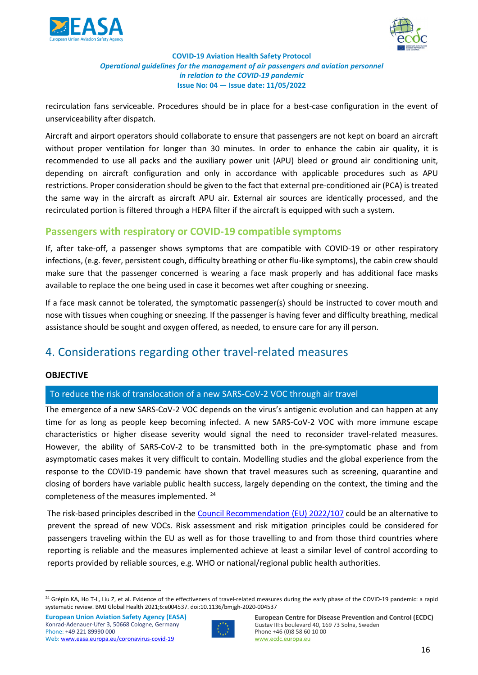



recirculation fans serviceable. Procedures should be in place for a best-case configuration in the event of unserviceability after dispatch.

Aircraft and airport operators should collaborate to ensure that passengers are not kept on board an aircraft without proper ventilation for longer than 30 minutes. In order to enhance the cabin air quality, it is recommended to use all packs and the auxiliary power unit (APU) bleed or ground air conditioning unit, depending on aircraft configuration and only in accordance with applicable procedures such as APU restrictions. Proper consideration should be given to the fact that external pre-conditioned air (PCA) is treated the same way in the aircraft as aircraft APU air. External air sources are identically processed, and the recirculated portion is filtered through a HEPA filter if the aircraft is equipped with such a system.

## <span id="page-15-0"></span>**Passengers with respiratory or COVID-19 compatible symptoms**

If, after take-off, a passenger shows symptoms that are compatible with COVID-19 or other respiratory infections, (e.g. fever, persistent cough, difficulty breathing or other flu-like symptoms), the cabin crew should make sure that the passenger concerned is wearing a face mask properly and has additional face masks available to replace the one being used in case it becomes wet after coughing or sneezing.

If a face mask cannot be tolerated, the symptomatic passenger(s) should be instructed to cover mouth and nose with tissues when coughing or sneezing. If the passenger is having fever and difficulty breathing, medical assistance should be sought and oxygen offered, as needed, to ensure care for any ill person.

# <span id="page-15-1"></span>4. Considerations regarding other travel-related measures

#### **OBJECTIVE**

### To reduce the risk of translocation of a new SARS-CoV-2 VOC through air travel

The emergence of a new SARS-CoV-2 VOC depends on the virus's antigenic evolution and can happen at any time for as long as people keep becoming infected. A new SARS-CoV-2 VOC with more immune escape characteristics or higher disease severity would signal the need to reconsider travel-related measures. However, the ability of SARS-CoV-2 to be transmitted both in the pre-symptomatic phase and from asymptomatic cases makes it very difficult to contain. Modelling studies and the global experience from the response to the COVID-19 pandemic have shown that travel measures such as screening, quarantine and closing of borders have variable public health success, largely depending on the context, the timing and the completeness of the measures implemented. [24](#page-15-2)

The risk-based principles described in the [Council Recommendation \(EU\) 2022/107](https://eur-lex.europa.eu/legal-content/EN/TXT/?uri=CELEX%3A32022H0107&qid=1646394991702) could be an alternative to prevent the spread of new VOCs. Risk assessment and risk mitigation principles could be considered for passengers traveling within the EU as well as for those travelling to and from those third countries where reporting is reliable and the measures implemented achieve at least a similar level of control according to reports provided by reliable sources, e.g. WHO or national/regional public health authorities.



<span id="page-15-2"></span><sup>&</sup>lt;sup>24</sup> Grépin KA, Ho T-L, Liu Z, et al. Evidence of the effectiveness of travel-related measures during the early phase of the COVID-19 pandemic: a rapid systematic review. BMJ Global Health 2021;6:e004537. doi:10.1136/bmjgh-2020-004537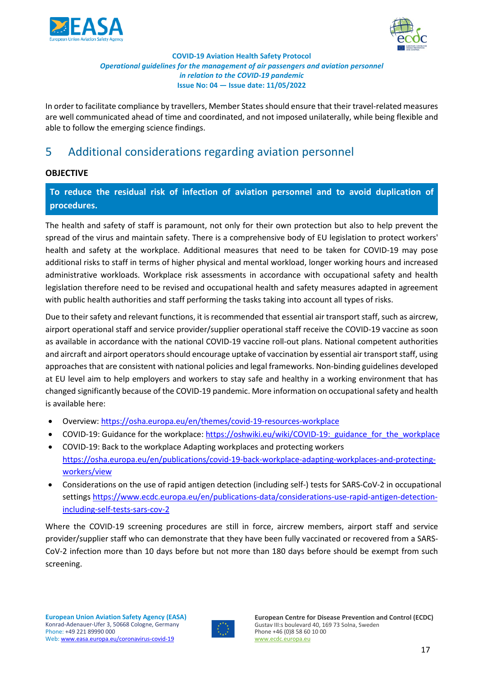



In order to facilitate compliance by travellers, Member States should ensure that their travel-related measures are well communicated ahead of time and coordinated, and not imposed unilaterally, while being flexible and able to follow the emerging science findings.

# <span id="page-16-0"></span>5 Additional considerations regarding aviation personnel

#### **OBJECTIVE**

**To reduce the residual risk of infection of aviation personnel and to avoid duplication of procedures.**

The health and safety of staff is paramount, not only for their own protection but also to help prevent the spread of the virus and maintain safety. There is a comprehensive body of EU legislation to protect workers' health and safety at the workplace. Additional measures that need to be taken for COVID-19 may pose additional risks to staff in terms of higher physical and mental workload, longer working hours and increased administrative workloads. Workplace risk assessments in accordance with occupational safety and health legislation therefore need to be revised and occupational health and safety measures adapted in agreement with public health authorities and staff performing the tasks taking into account all types of risks.

Due to their safety and relevant functions, it is recommended that essential air transport staff, such as aircrew, airport operational staff and service provider/supplier operational staff receive the COVID-19 vaccine as soon as available in accordance with the national COVID-19 vaccine roll-out plans. National competent authorities and aircraft and airport operators should encourage uptake of vaccination by essential air transport staff, using approaches that are consistent with national policies and legal frameworks. Non-binding guidelines developed at EU level aim to help employers and workers to stay safe and healthy in a working environment that has changed significantly because of the COVID-19 pandemic. More information on occupational safety and health is available here:

- Overview:<https://osha.europa.eu/en/themes/covid-19-resources-workplace>
- COVID-19: Guidance for the workplace: [https://oshwiki.eu/wiki/COVID-19:\\_guidance\\_for\\_the\\_workplace](https://oshwiki.eu/wiki/COVID-19:_guidance_for_the_workplace)
- COVID-19: Back to the workplace Adapting workplaces and protecting workers [https://osha.europa.eu/en/publications/covid-19-back-workplace-adapting-workplaces-and-protecting](https://osha.europa.eu/en/publications/covid-19-back-workplace-adapting-workplaces-and-protecting-workers/view)[workers/view](https://osha.europa.eu/en/publications/covid-19-back-workplace-adapting-workplaces-and-protecting-workers/view)
- Considerations on the use of rapid antigen detection (including self-) tests for SARS-CoV-2 in occupational settings [https://www.ecdc.europa.eu/en/publications-data/considerations-use-rapid-antigen-detection](https://www.ecdc.europa.eu/en/publications-data/considerations-use-rapid-antigen-detection-including-self-tests-sars-cov-2)[including-self-tests-sars-cov-2](https://www.ecdc.europa.eu/en/publications-data/considerations-use-rapid-antigen-detection-including-self-tests-sars-cov-2)

Where the COVID-19 screening procedures are still in force, aircrew members, airport staff and service provider/supplier staff who can demonstrate that they have been fully vaccinated or recovered from a SARS-CoV-2 infection more than 10 days before but not more than 180 days before should be exempt from such screening.

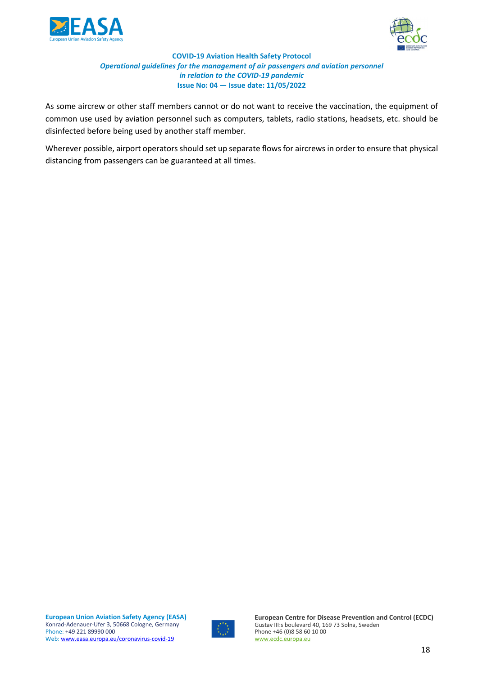



As some aircrew or other staff members cannot or do not want to receive the vaccination, the equipment of common use used by aviation personnel such as computers, tablets, radio stations, headsets, etc. should be disinfected before being used by another staff member.

Wherever possible, airport operators should set up separate flows for aircrews in order to ensure that physical distancing from passengers can be guaranteed at all times.

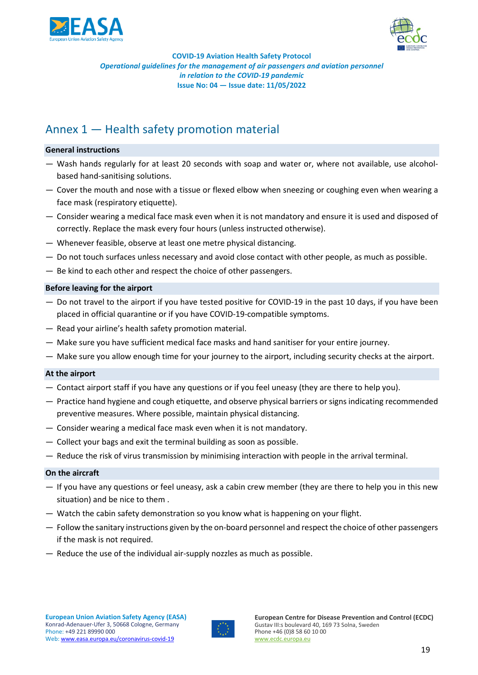



# <span id="page-18-0"></span>Annex 1 — Health safety promotion material

#### **General instructions**

- Wash hands regularly for at least 20 seconds with soap and water or, where not available, use alcoholbased hand-sanitising solutions.
- Cover the mouth and nose with a tissue or flexed elbow when sneezing or coughing even when wearing a face mask (respiratory etiquette).
- Consider wearing a medical face mask even when it is not mandatory and ensure it is used and disposed of correctly. Replace the mask every four hours (unless instructed otherwise).
- Whenever feasible, observe at least one metre physical distancing.
- Do not touch surfaces unless necessary and avoid close contact with other people, as much as possible.
- Be kind to each other and respect the choice of other passengers.

#### **Before leaving for the airport**

- Do not travel to the airport if you have tested positive for COVID-19 in the past 10 days, if you have been placed in official quarantine or if you have COVID-19-compatible symptoms.
- Read your airline's health safety promotion material.
- Make sure you have sufficient medical face masks and hand sanitiser for your entire journey.
- Make sure you allow enough time for your journey to the airport, including security checks at the airport.

#### **At the airport**

- Contact airport staff if you have any questions or if you feel uneasy (they are there to help you).
- Practice hand hygiene and cough etiquette, and observe physical barriers or signs indicating recommended preventive measures. Where possible, maintain physical distancing.
- Consider wearing a medical face mask even when it is not mandatory.
- Collect your bags and exit the terminal building as soon as possible.
- Reduce the risk of virus transmission by minimising interaction with people in the arrival terminal.

#### **On the aircraft**

- If you have any questions or feel uneasy, ask a cabin crew member (they are there to help you in this new situation) and be nice to them .
- Watch the cabin safety demonstration so you know what is happening on your flight.
- Follow the sanitary instructions given by the on-board personnel and respect the choice of other passengers if the mask is not required.
- Reduce the use of the individual air-supply nozzles as much as possible.

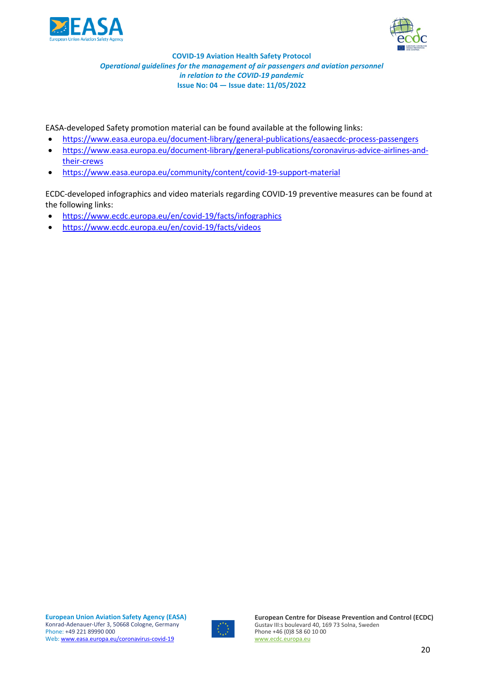



EASA-developed Safety promotion material can be found available at the following links:

- <https://www.easa.europa.eu/document-library/general-publications/easaecdc-process-passengers>
- [https://www.easa.europa.eu/document-library/general-publications/coronavirus-advice-airlines-and](https://www.easa.europa.eu/document-library/general-publications/coronavirus-advice-airlines-and-their-crews)[their-crews](https://www.easa.europa.eu/document-library/general-publications/coronavirus-advice-airlines-and-their-crews)
- <https://www.easa.europa.eu/community/content/covid-19-support-material>

ECDC-developed infographics and video materials regarding COVID-19 preventive measures can be found at the following links:

- <https://www.ecdc.europa.eu/en/covid-19/facts/infographics>
- <https://www.ecdc.europa.eu/en/covid-19/facts/videos>